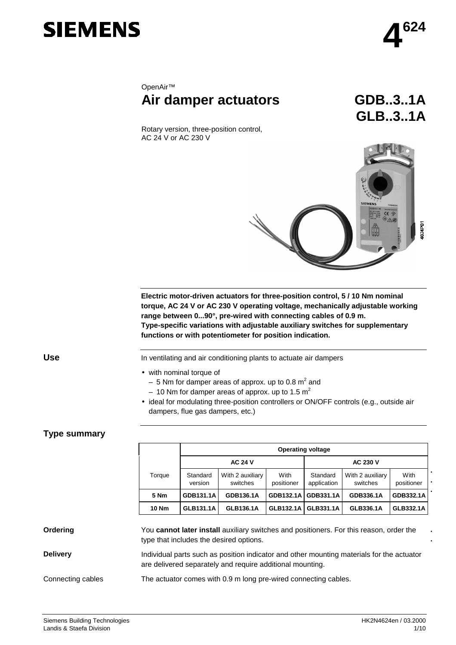

# OpenAir™ **Air damper actuators GDB..3..1A**

**GLB..3..1A**

Rotary version, three-position control, AC 24 V or AC 230 V



**Electric motor-driven actuators for three-position control, 5 / 10 Nm nominal torque, AC 24 V or AC 230 V operating voltage, mechanically adjustable working range between 0...90°, pre-wired with connecting cables of 0.9 m. Type-specific variations with adjustable auxiliary switches for supplementary functions or with potentiometer for position indication.**

**Use**

In ventilating and air conditioning plants to actuate air dampers

- with nominal torque of
	- $-5$  Nm for damper areas of approx. up to 0.8 m<sup>2</sup> and – 10 Nm for damper areas of approx. up to 1.5  $m^2$
- ideal for modulating three-position controllers or ON/OFF controls (e.g., outside air dampers, flue gas dampers, etc.)

## **Type summary**

|              | <b>Operating voltage</b> |                              |                    |                         |                              |                    |  |  |
|--------------|--------------------------|------------------------------|--------------------|-------------------------|------------------------------|--------------------|--|--|
|              | <b>AC 24 V</b>           |                              |                    | <b>AC 230 V</b>         |                              |                    |  |  |
| Torque       | Standard<br>version      | With 2 auxiliary<br>switches | With<br>positioner | Standard<br>application | With 2 auxiliary<br>switches | With<br>positioner |  |  |
| 5 Nm         | GDB131.1A                | GDB136.1A                    | GDB132.1A          | GDB331.1A               | GDB336.1A                    | GDB332.1A          |  |  |
| <b>10 Nm</b> | <b>GLB131.1A</b>         | GLB136.1A                    | <b>GLB132.1A</b>   | GLB331.1A               | GLB336.1A                    | <b>GLB332.1A</b>   |  |  |

#### You **cannot later install** auxiliary switches and positioners. For this reason, order the type that includes the desired options. Individual parts such as position indicator and other mounting materials for the actuator are delivered separately and require additional mounting. The actuator comes with 0.9 m long pre-wired connecting cables. **Ordering Delivery** Connecting cables

**. .**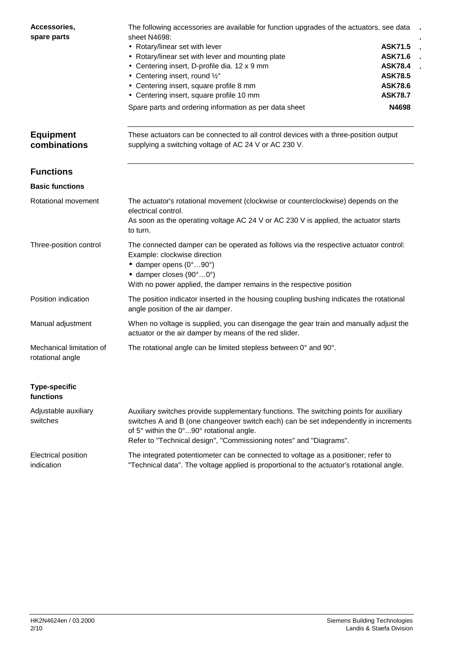| Accessories,<br>spare parts                  | The following accessories are available for function upgrades of the actuators, see data<br>sheet N4698:<br>• Rotary/linear set with lever<br>• Rotary/linear set with lever and mounting plate<br>• Centering insert, D-profile dia. 12 x 9 mm<br>• Centering insert, round 1/2"<br>• Centering insert, square profile 8 mm<br>• Centering insert, square profile 10 mm<br>Spare parts and ordering information as per data sheet | <b>ASK71.5</b><br><b>ASK71.6</b><br><b>ASK78.4</b><br><b>ASK78.5</b><br><b>ASK78.6</b><br><b>ASK78.7</b><br>N4698 |
|----------------------------------------------|------------------------------------------------------------------------------------------------------------------------------------------------------------------------------------------------------------------------------------------------------------------------------------------------------------------------------------------------------------------------------------------------------------------------------------|-------------------------------------------------------------------------------------------------------------------|
| <b>Equipment</b><br>combinations             | These actuators can be connected to all control devices with a three-position output<br>supplying a switching voltage of AC 24 V or AC 230 V.                                                                                                                                                                                                                                                                                      |                                                                                                                   |
| <b>Functions</b>                             |                                                                                                                                                                                                                                                                                                                                                                                                                                    |                                                                                                                   |
| <b>Basic functions</b>                       |                                                                                                                                                                                                                                                                                                                                                                                                                                    |                                                                                                                   |
| Rotational movement                          | The actuator's rotational movement (clockwise or counterclockwise) depends on the<br>electrical control.<br>As soon as the operating voltage AC 24 V or AC 230 V is applied, the actuator starts<br>to turn.                                                                                                                                                                                                                       |                                                                                                                   |
| Three-position control                       | The connected damper can be operated as follows via the respective actuator control:<br>Example: clockwise direction<br>$\bullet$ damper opens (0°90°)<br>$\bullet$ damper closes (90°0°)<br>With no power applied, the damper remains in the respective position                                                                                                                                                                  |                                                                                                                   |
| Position indication                          | The position indicator inserted in the housing coupling bushing indicates the rotational<br>angle position of the air damper.                                                                                                                                                                                                                                                                                                      |                                                                                                                   |
| Manual adjustment                            | When no voltage is supplied, you can disengage the gear train and manually adjust the<br>actuator or the air damper by means of the red slider.                                                                                                                                                                                                                                                                                    |                                                                                                                   |
| Mechanical limitation of<br>rotational angle | The rotational angle can be limited stepless between 0° and 90°.                                                                                                                                                                                                                                                                                                                                                                   |                                                                                                                   |
| <b>Type-specific</b><br>functions            |                                                                                                                                                                                                                                                                                                                                                                                                                                    |                                                                                                                   |
| Adjustable auxiliary<br>switches             | Auxiliary switches provide supplementary functions. The switching points for auxiliary<br>switches A and B (one changeover switch each) can be set independently in increments<br>of 5° within the 0°90° rotational angle.<br>Refer to "Technical design", "Commissioning notes" and "Diagrams".                                                                                                                                   |                                                                                                                   |
| Electrical position<br>indication            | The integrated potentiometer can be connected to voltage as a positioner; refer to<br>"Technical data". The voltage applied is proportional to the actuator's rotational angle.                                                                                                                                                                                                                                                    |                                                                                                                   |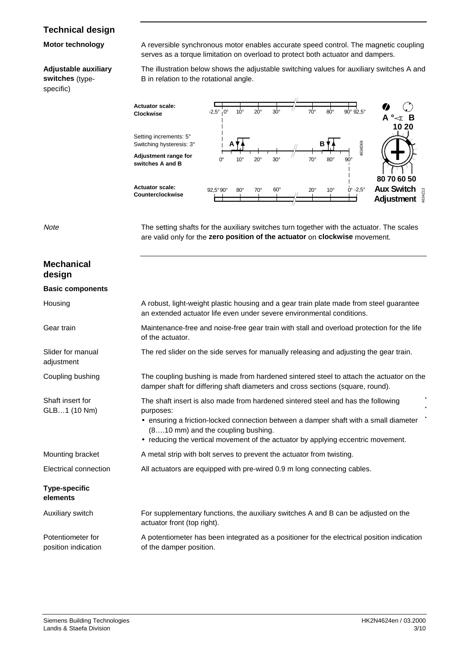## **Technical design**

#### **Motor technology**

### **Adjustable auxiliary**

**switches** (typespecific)

A reversible synchronous motor enables accurate speed control. The magnetic coupling serves as a torque limitation on overload to protect both actuator and dampers.

The illustration below shows the adjustable switching values for auxiliary switches A and B in relation to the rotational angle.



**Note** 

**Mechanical**

The setting shafts for the auxiliary switches turn together with the actuator. The scales are valid only for the **zero position of the actuator** on **clockwise** movement.

| design                                   |                                                                                                                                                                                                                                                                                                                 |
|------------------------------------------|-----------------------------------------------------------------------------------------------------------------------------------------------------------------------------------------------------------------------------------------------------------------------------------------------------------------|
| <b>Basic components</b>                  |                                                                                                                                                                                                                                                                                                                 |
| Housing                                  | A robust, light-weight plastic housing and a gear train plate made from steel guarantee<br>an extended actuator life even under severe environmental conditions.                                                                                                                                                |
| Gear train                               | Maintenance-free and noise-free gear train with stall and overload protection for the life<br>of the actuator.                                                                                                                                                                                                  |
| Slider for manual<br>adjustment          | The red slider on the side serves for manually releasing and adjusting the gear train.                                                                                                                                                                                                                          |
| Coupling bushing                         | The coupling bushing is made from hardened sintered steel to attach the actuator on the<br>damper shaft for differing shaft diameters and cross sections (square, round).                                                                                                                                       |
| Shaft insert for<br>GLB1 (10 Nm)         | The shaft insert is also made from hardened sintered steel and has the following<br>purposes:<br>• ensuring a friction-locked connection between a damper shaft with a small diameter<br>(810 mm) and the coupling bushing.<br>• reducing the vertical movement of the actuator by applying eccentric movement. |
| Mounting bracket                         | A metal strip with bolt serves to prevent the actuator from twisting.                                                                                                                                                                                                                                           |
| Electrical connection                    | All actuators are equipped with pre-wired 0.9 m long connecting cables.                                                                                                                                                                                                                                         |
| <b>Type-specific</b><br>elements         |                                                                                                                                                                                                                                                                                                                 |
| Auxiliary switch                         | For supplementary functions, the auxiliary switches A and B can be adjusted on the<br>actuator front (top right).                                                                                                                                                                                               |
| Potentiometer for<br>position indication | A potentiometer has been integrated as a positioner for the electrical position indication<br>of the damper position.                                                                                                                                                                                           |
|                                          |                                                                                                                                                                                                                                                                                                                 |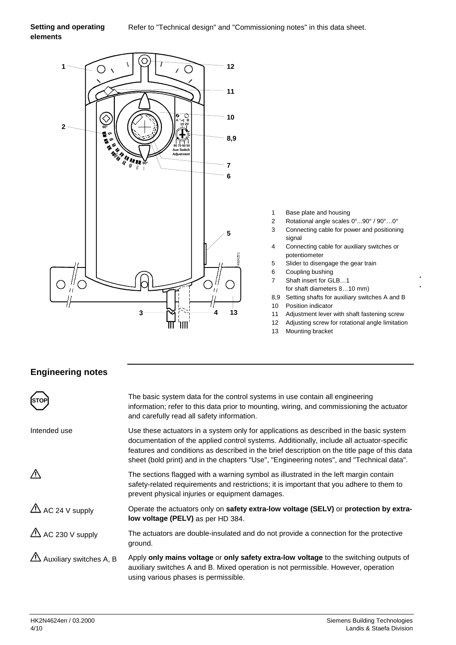#### Refer to "Technical design" and "Commissioning notes" in this data sheet. **Setting and operating elements**



- 1 Base plate and housing
- 2 Rotational angle scales 0°...90° / 90°…0°
- 3 Connecting cable for power and positioning signal
- 4 Connecting cable for auxiliary switches or potentiometer
- 5 Slider to disengage the gear train
- 6 Coupling bushing
- 7 Shaft insert for GLB…1 for shaft diameters 8…10 mm)
- 8,9 Setting shafts for auxiliary switches A and B

**. .**

- 10 Position indicator
- 11 Adjustment lever with shaft fastening screw
- 12 Adjusting screw for rotational angle limitation
- 13 Mounting bracket

## **Engineering notes**

|                             | The basic system data for the control systems in use contain all engineering<br>information; refer to this data prior to mounting, wiring, and commissioning the actuator<br>and carefully read all safety information.                                                                                                                                                         |
|-----------------------------|---------------------------------------------------------------------------------------------------------------------------------------------------------------------------------------------------------------------------------------------------------------------------------------------------------------------------------------------------------------------------------|
| Intended use                | Use these actuators in a system only for applications as described in the basic system<br>documentation of the applied control systems. Additionally, include all actuator-specific<br>features and conditions as described in the brief description on the title page of this data<br>sheet (bold print) and in the chapters "Use", "Engineering notes", and "Technical data". |
| ∕^                          | The sections flagged with a warning symbol as illustrated in the left margin contain<br>safety-related requirements and restrictions; it is important that you adhere to them to<br>prevent physical injuries or equipment damages.                                                                                                                                             |
| $\triangle$ AC 24 V supply  | Operate the actuators only on safety extra-low voltage (SELV) or protection by extra-<br>low voltage (PELV) as per HD 384.                                                                                                                                                                                                                                                      |
| $\triangle$ AC 230 V supply | The actuators are double-insulated and do not provide a connection for the protective<br>ground.                                                                                                                                                                                                                                                                                |
| ZIN Auxiliary switches A, B | Apply only mains voltage or only safety extra-low voltage to the switching outputs of<br>auxiliary switches A and B. Mixed operation is not permissible. However, operation<br>using various phases is permissible.                                                                                                                                                             |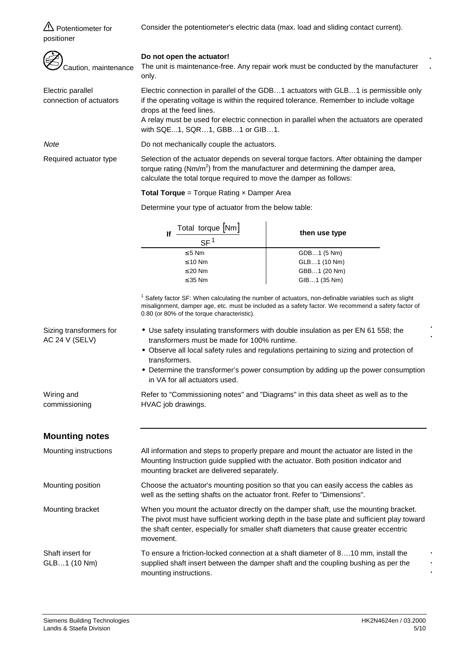Consider the potentiometer's electric data (max. load and sliding contact current).

**A** Potentiometer for positioner

| Caution, maintenance                         | Do not open the actuator!<br>The unit is maintenance-free. Any repair work must be conducted by the manufacturer<br>only. |                                                                                                                                                                                                                                                                           |  |
|----------------------------------------------|---------------------------------------------------------------------------------------------------------------------------|---------------------------------------------------------------------------------------------------------------------------------------------------------------------------------------------------------------------------------------------------------------------------|--|
| Electric parallel<br>connection of actuators | drops at the feed lines.<br>with SQE1, SQR1, GBB1 or GIB1.                                                                | Electric connection in parallel of the GDB1 actuators with GLB1 is permissible only<br>if the operating voltage is within the required tolerance. Remember to include voltage<br>A relay must be used for electric connection in parallel when the actuators are operated |  |
| Note                                         | Do not mechanically couple the actuators.                                                                                 |                                                                                                                                                                                                                                                                           |  |
| Required actuator type                       | calculate the total torque required to move the damper as follows:                                                        | Selection of the actuator depends on several torque factors. After obtaining the damper<br>torque rating ( $Nm/m^2$ ) from the manufacturer and determining the damper area,                                                                                              |  |
|                                              | <b>Total Torque</b> = Torque Rating x Damper Area                                                                         |                                                                                                                                                                                                                                                                           |  |
|                                              | Determine your type of actuator from the below table:                                                                     |                                                                                                                                                                                                                                                                           |  |
|                                              | Total torque [Nm]<br>If<br>$SF^1$                                                                                         | then use type                                                                                                                                                                                                                                                             |  |
|                                              | $\leq 5$ Nm                                                                                                               | GDB1 (5 Nm)                                                                                                                                                                                                                                                               |  |
|                                              | $\leq 10$ Nm                                                                                                              | GLB1 (10 Nm)                                                                                                                                                                                                                                                              |  |
|                                              | $\leq$ 20 Nm                                                                                                              | GBB1 (20 Nm)                                                                                                                                                                                                                                                              |  |
|                                              | $\leq$ 35 Nm                                                                                                              | GIB1 (35 Nm)                                                                                                                                                                                                                                                              |  |
|                                              | 0.80 (or 80% of the torque characteristic).                                                                               | <sup>1</sup> Safety factor SF: When calculating the number of actuators, non-definable variables such as slight<br>misalignment, damper age, etc. must be included as a safety factor. We recommend a safety factor of                                                    |  |
| Sizing transformers for<br>AC 24 V (SELV)    | transformers must be made for 100% runtime.                                                                               | • Use safety insulating transformers with double insulation as per EN 61 558; the                                                                                                                                                                                         |  |
|                                              | transformers.                                                                                                             | • Observe all local safety rules and regulations pertaining to sizing and protection of                                                                                                                                                                                   |  |
|                                              | in VA for all actuators used.                                                                                             | • Determine the transformer's power consumption by adding up the power consumption                                                                                                                                                                                        |  |
| Wiring and<br>commissioning                  | Refer to "Commissioning notes" and "Diagrams" in this data sheet as well as to the<br>HVAC job drawings.                  |                                                                                                                                                                                                                                                                           |  |

## **Mounting notes**

| Mounting instructions            | All information and steps to properly prepare and mount the actuator are listed in the<br>Mounting Instruction guide supplied with the actuator. Both position indicator and<br>mounting bracket are delivered separately.                                                             |
|----------------------------------|----------------------------------------------------------------------------------------------------------------------------------------------------------------------------------------------------------------------------------------------------------------------------------------|
| Mounting position                | Choose the actuator's mounting position so that you can easily access the cables as<br>well as the setting shafts on the actuator front. Refer to "Dimensions".                                                                                                                        |
| Mounting bracket                 | When you mount the actuator directly on the damper shaft, use the mounting bracket.<br>The pivot must have sufficient working depth in the base plate and sufficient play toward<br>the shaft center, especially for smaller shaft diameters that cause greater eccentric<br>movement. |
| Shaft insert for<br>GLB1 (10 Nm) | To ensure a friction-locked connection at a shaft diameter of 810 mm, install the<br>supplied shaft insert between the damper shaft and the coupling bushing as per the<br>mounting instructions.                                                                                      |

**. . .**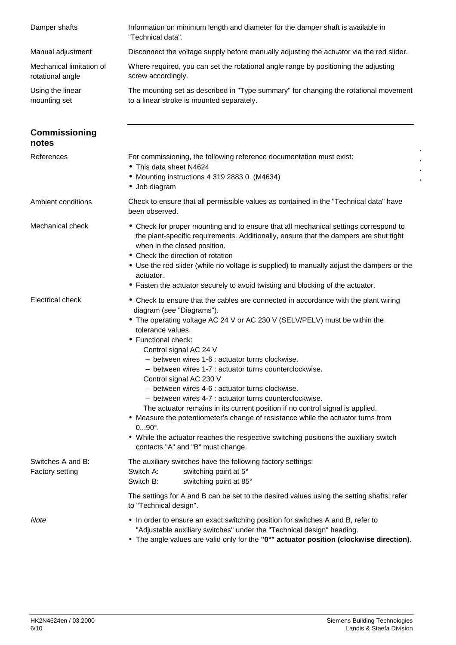| Damper shafts                                | Information on minimum length and diameter for the damper shaft is available in<br>"Technical data".                                                                                                                                                                                                                                                                                                                                                                                                                                                                                                                                                                                                                                                                                                                                         |
|----------------------------------------------|----------------------------------------------------------------------------------------------------------------------------------------------------------------------------------------------------------------------------------------------------------------------------------------------------------------------------------------------------------------------------------------------------------------------------------------------------------------------------------------------------------------------------------------------------------------------------------------------------------------------------------------------------------------------------------------------------------------------------------------------------------------------------------------------------------------------------------------------|
| Manual adjustment                            | Disconnect the voltage supply before manually adjusting the actuator via the red slider.                                                                                                                                                                                                                                                                                                                                                                                                                                                                                                                                                                                                                                                                                                                                                     |
| Mechanical limitation of<br>rotational angle | Where required, you can set the rotational angle range by positioning the adjusting<br>screw accordingly.                                                                                                                                                                                                                                                                                                                                                                                                                                                                                                                                                                                                                                                                                                                                    |
| Using the linear<br>mounting set             | The mounting set as described in "Type summary" for changing the rotational movement<br>to a linear stroke is mounted separately.                                                                                                                                                                                                                                                                                                                                                                                                                                                                                                                                                                                                                                                                                                            |
| <b>Commissioning</b><br>notes                |                                                                                                                                                                                                                                                                                                                                                                                                                                                                                                                                                                                                                                                                                                                                                                                                                                              |
| References                                   | For commissioning, the following reference documentation must exist:<br>• This data sheet N4624<br>• Mounting instructions 4 319 2883 0 (M4634)<br>· Job diagram                                                                                                                                                                                                                                                                                                                                                                                                                                                                                                                                                                                                                                                                             |
| Ambient conditions                           | Check to ensure that all permissible values as contained in the "Technical data" have<br>been observed.                                                                                                                                                                                                                                                                                                                                                                                                                                                                                                                                                                                                                                                                                                                                      |
| Mechanical check                             | • Check for proper mounting and to ensure that all mechanical settings correspond to<br>the plant-specific requirements. Additionally, ensure that the dampers are shut tight<br>when in the closed position.<br>• Check the direction of rotation<br>• Use the red slider (while no voltage is supplied) to manually adjust the dampers or the<br>actuator.<br>• Fasten the actuator securely to avoid twisting and blocking of the actuator.                                                                                                                                                                                                                                                                                                                                                                                               |
| <b>Electrical check</b>                      | • Check to ensure that the cables are connected in accordance with the plant wiring<br>diagram (see "Diagrams").<br>• The operating voltage AC 24 V or AC 230 V (SELV/PELV) must be within the<br>tolerance values.<br>• Functional check:<br>Control signal AC 24 V<br>- between wires 1-6 : actuator turns clockwise.<br>- between wires 1-7 : actuator turns counterclockwise.<br>Control signal AC 230 V<br>- between wires 4-6 : actuator turns clockwise.<br>- between wires 4-7 : actuator turns counterclockwise.<br>The actuator remains in its current position if no control signal is applied.<br>• Measure the potentiometer's change of resistance while the actuator turns from<br>$090^\circ$ .<br>• While the actuator reaches the respective switching positions the auxiliary switch<br>contacts "A" and "B" must change. |
| Switches A and B:<br><b>Factory setting</b>  | The auxiliary switches have the following factory settings:<br>Switch A:<br>switching point at 5°<br>Switch B:<br>switching point at 85°                                                                                                                                                                                                                                                                                                                                                                                                                                                                                                                                                                                                                                                                                                     |
|                                              | The settings for A and B can be set to the desired values using the setting shafts; refer<br>to "Technical design".                                                                                                                                                                                                                                                                                                                                                                                                                                                                                                                                                                                                                                                                                                                          |
| Note                                         | • In order to ensure an exact switching position for switches A and B, refer to<br>"Adjustable auxiliary switches" under the "Technical design" heading.<br>• The angle values are valid only for the "0°" actuator position (clockwise direction).                                                                                                                                                                                                                                                                                                                                                                                                                                                                                                                                                                                          |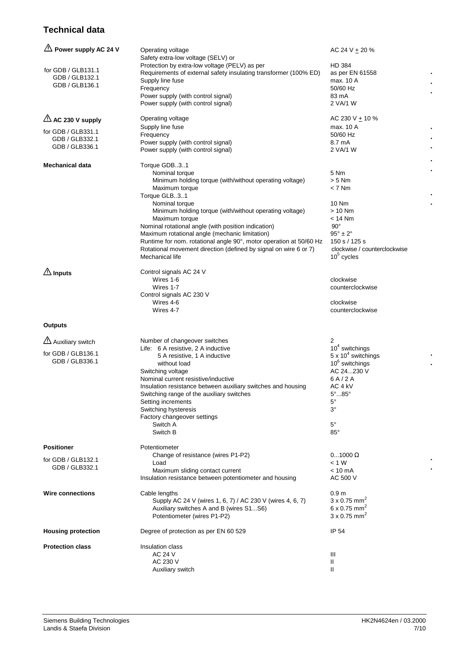## **Technical data**

| $\triangle$ Power supply AC 24 V     | Operating voltage<br>Safety extra-low voltage (SELV) or                                                              | AC 24 V + 20 $%$                        |  |
|--------------------------------------|----------------------------------------------------------------------------------------------------------------------|-----------------------------------------|--|
| for GDB / GLB131.1<br>GDB / GLB132.1 | Protection by extra-low voltage (PELV) as per<br>Requirements of external safety insulating transformer (100% ED)    | HD 384<br>as per EN 61558               |  |
| GDB / GLB136.1                       | Supply line fuse<br>Frequency                                                                                        | max. 10 A<br>50/60 Hz                   |  |
|                                      | Power supply (with control signal)                                                                                   | 83 mA                                   |  |
|                                      | Power supply (with control signal)                                                                                   | 2 VA/1 W                                |  |
| $\triangle$ AC 230 V supply          | Operating voltage                                                                                                    | AC 230 V ± 10 %                         |  |
| for GDB / GLB331.1                   | Supply line fuse<br>Frequency                                                                                        | max. 10 A<br>50/60 Hz                   |  |
| GDB / GLB332.1                       | Power supply (with control signal)                                                                                   | 8.7 mA                                  |  |
| GDB / GLB336.1                       | Power supply (with control signal)                                                                                   | 2 VA/1 W                                |  |
| <b>Mechanical data</b>               | Torque GDB31                                                                                                         | 5 Nm                                    |  |
|                                      | Nominal torque<br>Minimum holding torque (with/without operating voltage)                                            | $> 5$ Nm                                |  |
|                                      | Maximum torque                                                                                                       | $< 7$ Nm                                |  |
|                                      | Torque GLB31                                                                                                         |                                         |  |
|                                      | Nominal torque                                                                                                       | 10 Nm                                   |  |
|                                      | Minimum holding torque (with/without operating voltage)                                                              | $> 10$ Nm                               |  |
|                                      | Maximum torque                                                                                                       | $<$ 14 Nm                               |  |
|                                      | Nominal rotational angle (with position indication)                                                                  | $90^{\circ}$                            |  |
|                                      | Maximum rotational angle (mechanic limitation)<br>Runtime for nom. rotational angle 90°, motor operation at 50/60 Hz | $95^\circ \pm 2^\circ$<br>150 s / 125 s |  |
|                                      | Rotational movement direction (defined by signal on wire 6 or 7)                                                     | clockwise / counterclockwise            |  |
|                                      | Mechanical life                                                                                                      | $105$ cycles                            |  |
| $\mathbb{A}$ Inputs                  | Control signals AC 24 V                                                                                              |                                         |  |
|                                      | Wires 1-6                                                                                                            | clockwise                               |  |
|                                      | Wires 1-7<br>Control signals AC 230 V                                                                                | counterclockwise                        |  |
|                                      | Wires 4-6                                                                                                            | clockwise                               |  |
|                                      | Wires 4-7                                                                                                            | counterclockwise                        |  |
| <b>Outputs</b>                       |                                                                                                                      |                                         |  |
|                                      |                                                                                                                      |                                         |  |
| Auxiliary switch                     | Number of changeover switches<br>Life: 6 A resistive, 2 A inductive                                                  | 2<br>$104$ switchings                   |  |
| for GDB / GLB136.1                   | 5 A resistive, 1 A inductive                                                                                         | $5 \times 10^4$ switchings              |  |
| GDB / GLB336.1                       | without load                                                                                                         | $10^6$ switchings                       |  |
|                                      | Switching voltage                                                                                                    | AC 24230 V                              |  |
|                                      | Nominal current resistive/inductive                                                                                  | 6A/2A                                   |  |
|                                      | Insulation resistance between auxiliary switches and housing                                                         | AC 4 kV                                 |  |
|                                      | Switching range of the auxiliary switches<br>Setting increments                                                      | $5^{\circ}85^{\circ}$<br>$5^{\circ}$    |  |
|                                      | Switching hysteresis                                                                                                 | 3°                                      |  |
|                                      | Factory changeover settings                                                                                          |                                         |  |
|                                      | Switch A                                                                                                             | $5^{\circ}$                             |  |
|                                      | Switch B                                                                                                             | $85^{\circ}$                            |  |
| <b>Positioner</b>                    | Potentiometer                                                                                                        |                                         |  |
| for GDB / GLB132.1                   | Change of resistance (wires P1-P2)                                                                                   | $01000 \Omega$                          |  |
| GDB / GLB332.1                       | Load<br>Maximum sliding contact current                                                                              | < 1 W<br>$< 10 \text{ mA}$              |  |
|                                      | Insulation resistance between potentiometer and housing                                                              | AC 500 V                                |  |
| <b>Wire connections</b>              | Cable lengths                                                                                                        | 0.9 <sub>m</sub>                        |  |
|                                      | Supply AC 24 V (wires 1, 6, 7) / AC 230 V (wires 4, 6, 7)                                                            | $3 \times 0.75$ mm <sup>2</sup>         |  |
|                                      | Auxiliary switches A and B (wires S1S6)                                                                              | 6 x 0.75 mm <sup>2</sup>                |  |
|                                      | Potentiometer (wires P1-P2)                                                                                          | $3 \times 0.75$ mm <sup>2</sup>         |  |
| <b>Housing protection</b>            | Degree of protection as per EN 60 529                                                                                | IP 54                                   |  |
| <b>Protection class</b>              | Insulation class                                                                                                     |                                         |  |
|                                      | AC 24 V                                                                                                              | Ш                                       |  |
|                                      | AC 230 V                                                                                                             | Ш                                       |  |
|                                      | Auxiliary switch                                                                                                     | Ш                                       |  |

**. . .**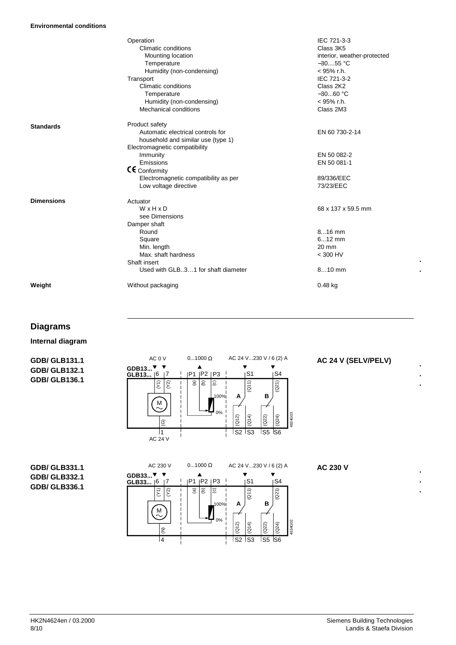|                   | Operation                            | IEC 721-3-3                 |
|-------------------|--------------------------------------|-----------------------------|
|                   | Climatic conditions                  | Class 3K5                   |
|                   | Mounting location                    | interior, weather-protected |
|                   | Temperature                          | $-3055$ °C                  |
|                   | Humidity (non-condensing)            | $<$ 95% r.h.                |
|                   | Transport                            | IEC 721-3-2                 |
|                   | Climatic conditions                  | Class 2K2                   |
|                   | Temperature                          | $-3060 °C$                  |
|                   | Humidity (non-condensing)            | $<$ 95% r.h.                |
|                   | Mechanical conditions                | Class 2M3                   |
|                   |                                      |                             |
| <b>Standards</b>  | Product safety                       |                             |
|                   | Automatic electrical controls for    | EN 60 730-2-14              |
|                   | household and similar use (type 1)   |                             |
|                   | Electromagnetic compatibility        |                             |
|                   | Immunity                             | EN 50 082-2                 |
|                   | Emissions                            | EN 50 081-1                 |
|                   | CE Conformity                        |                             |
|                   | Electromagnetic compatibility as per | 89/336/EEC                  |
|                   | Low voltage directive                | 73/23/EEC                   |
| <b>Dimensions</b> | Actuator                             |                             |
|                   | WxHxD                                | 68 x 137 x 59.5 mm          |
|                   | see Dimensions                       |                             |
|                   | Damper shaft                         |                             |
|                   | Round                                | 816 mm                      |
|                   | Square                               | $612$ mm                    |
|                   | Min. length                          | 20 mm                       |
|                   | Max. shaft hardness                  | $<$ 300 HV                  |
|                   | Shaft insert                         |                             |
|                   | Used with GLB31 for shaft diameter   | $810$ mm                    |
| Weight            | Without packaging                    | $0.48$ kg                   |

## **Diagrams**

**Internal diagram**

**GDB/ GLB131.1 GDB/ GLB132.1 GDB/ GLB136.1**



### **AC 24 V (SELV/PELV)**

**. .**

**. . .**

**. . .**

**GDB/ GLB331.1 GDB/ GLB332.1 GDB/ GLB336.1**



**AC 230 V**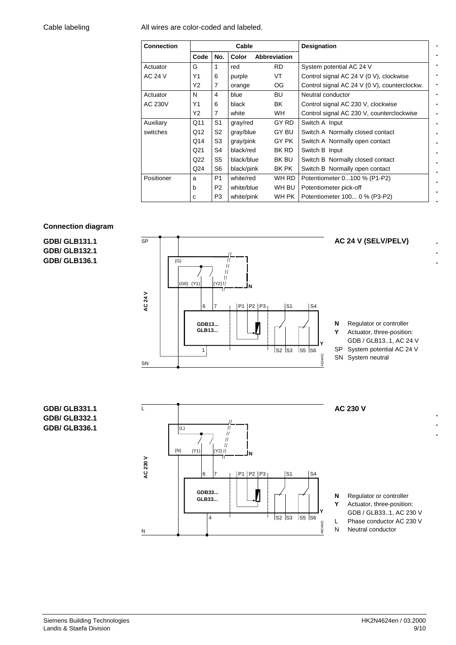#### Cable labeling

All wires are color-coded and labeled.

| <b>Connection</b> | Cable |                |            | Designation  |                                              |
|-------------------|-------|----------------|------------|--------------|----------------------------------------------|
|                   | Code  | No.            | Color      | Abbreviation |                                              |
| Actuator          | G     | 1              | red        | RD.          | System potential AC 24 V                     |
| <b>AC 24 V</b>    | Y1    | 6              | purple     | VT           | Control signal AC 24 V (0 V), clockwise      |
|                   | Υ2    | 7              | orange     | OG.          | Control signal AC 24 V (0 V), counterclockw. |
| Actuator          | N     | 4              | blue       | BU           | Neutral conductor                            |
| AC 230V           | Y1    | 6              | black      | BK           | Control signal AC 230 V, clockwise           |
|                   | Υ2    | 7              | white      | WH.          | Control signal AC 230 V, counterclockwise    |
| Auxiliary         | Q11   | S <sub>1</sub> | gray/red   | GY RD        | Switch A Input                               |
| switches          | Q12   | S <sub>2</sub> | gray/blue  | GY BU        | Switch A Normally closed contact             |
|                   | Q14   | S <sub>3</sub> | gray/pink  | GY PK        | Switch A Normally open contact               |
|                   | Q21   | S4             | black/red  | BK RD        | Switch B Input                               |
|                   | Q22   | S <sub>5</sub> | black/blue | BK BU        | Switch B Normally closed contact             |
|                   | Q24   | S <sub>6</sub> | black/pink | BK PK        | Switch B Normally open contact               |
| Positioner        | a     | P <sub>1</sub> | white/red  | WH RD        | Potentiometer 0100 % (P1-P2)                 |
|                   | b     | P <sub>2</sub> | white/blue | WH BU        | Potentiometer pick-off                       |
|                   | C     | P <sub>3</sub> | white/pink | WH PK        | Potentiometer 100 0 % (P3-P2)                |

#### **Connection diagram**

**GDB/ GLB131.1 GDB/ GLB132.1 GDB/ GLB136.1**



## **GDB/ GLB331.1 GDB/ GLB332.1 GDB/ GLB336.1**